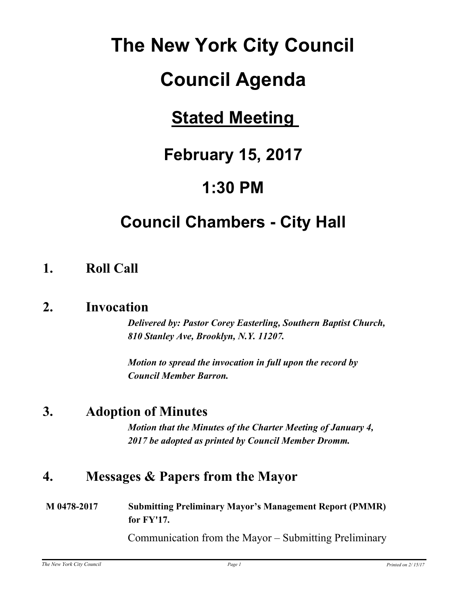# **The New York City Council**

# **Council Agenda**

# **Stated Meeting**

# **February 15, 2017**

# **1:30 PM**

# **Council Chambers - City Hall**

# **1. Roll Call**

## **2. Invocation**

*Delivered by: Pastor Corey Easterling, Southern Baptist Church, 810 Stanley Ave, Brooklyn, N.Y. 11207.*

*Motion to spread the invocation in full upon the record by Council Member Barron.*

# **3. Adoption of Minutes**

*Motion that the Minutes of the Charter Meeting of January 4, 2017 be adopted as printed by Council Member Dromm.*

# **4. Messages & Papers from the Mayor**

**M 0478-2017 Submitting Preliminary Mayor's Management Report (PMMR) for FY'17.**

Communication from the Mayor – Submitting Preliminary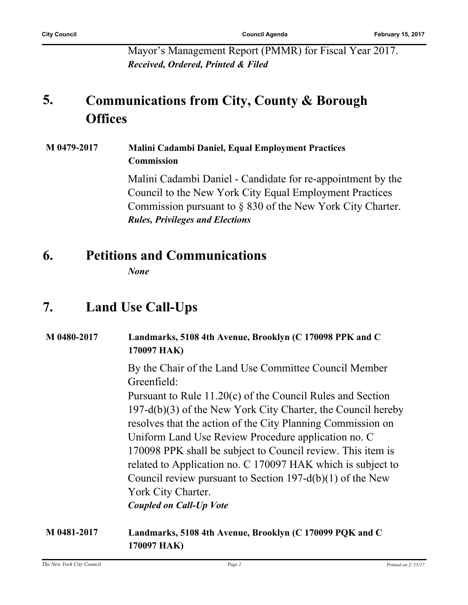Mayor's Management Report (PMMR) for Fiscal Year 2017. *Received, Ordered, Printed & Filed*

#### **Communications from City, County & Borough Offices 5.**

#### **M 0479-2017 Malini Cadambi Daniel, Equal Employment Practices Commission**

Malini Cadambi Daniel - Candidate for re-appointment by the Council to the New York City Equal Employment Practices Commission pursuant to § 830 of the New York City Charter. *Rules, Privileges and Elections*

## **6. Petitions and Communications**

*None*

# **7. Land Use Call-Ups**

# **M 0480-2017 Landmarks, 5108 4th Avenue, Brooklyn (C 170098 PPK and C 170097 HAK)** By the Chair of the Land Use Committee Council Member Greenfield: Pursuant to Rule 11.20(c) of the Council Rules and Section 197-d(b)(3) of the New York City Charter, the Council hereby resolves that the action of the City Planning Commission on Uniform Land Use Review Procedure application no. C 170098 PPK shall be subject to Council review. This item is related to Application no. C 170097 HAK which is subject to Council review pursuant to Section 197-d(b)(1) of the New York City Charter. *Coupled on Call-Up Vote* **M 0481-2017 Landmarks, 5108 4th Avenue, Brooklyn (C 170099 PQK and C**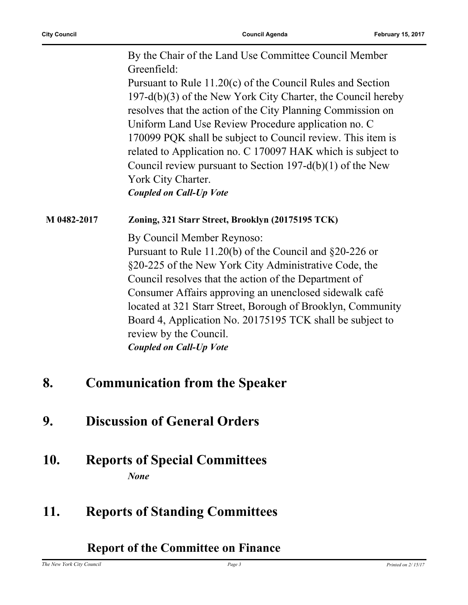By the Chair of the Land Use Committee Council Member Greenfield:

Pursuant to Rule 11.20(c) of the Council Rules and Section 197-d(b)(3) of the New York City Charter, the Council hereby resolves that the action of the City Planning Commission on Uniform Land Use Review Procedure application no. C 170099 PQK shall be subject to Council review. This item is related to Application no. C 170097 HAK which is subject to Council review pursuant to Section 197-d(b)(1) of the New York City Charter.

*Coupled on Call-Up Vote*

#### **M 0482-2017 Zoning, 321 Starr Street, Brooklyn (20175195 TCK)**

By Council Member Reynoso:

Pursuant to Rule 11.20(b) of the Council and §20-226 or §20-225 of the New York City Administrative Code, the Council resolves that the action of the Department of Consumer Affairs approving an unenclosed sidewalk café located at 321 Starr Street, Borough of Brooklyn, Community Board 4, Application No. 20175195 TCK shall be subject to review by the Council. *Coupled on Call-Up Vote*

## **8. Communication from the Speaker**

- **9. Discussion of General Orders**
- **10. Reports of Special Committees** *None*

## **11. Reports of Standing Committees**

#### **Report of the Committee on Finance**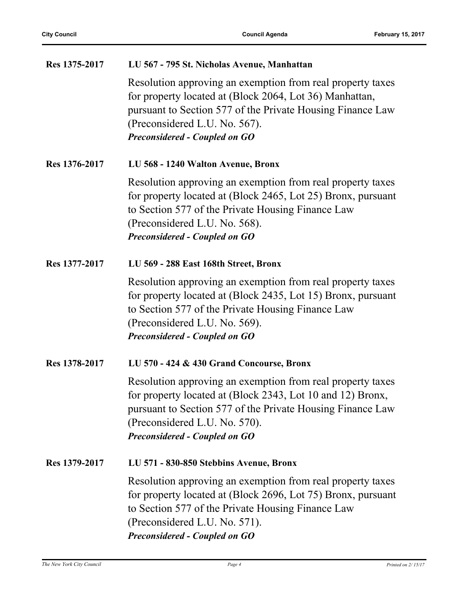| Res 1375-2017 | LU 567 - 795 St. Nicholas Avenue, Manhattan                                                                                                                                                                                                                     |
|---------------|-----------------------------------------------------------------------------------------------------------------------------------------------------------------------------------------------------------------------------------------------------------------|
|               | Resolution approving an exemption from real property taxes<br>for property located at (Block 2064, Lot 36) Manhattan,<br>pursuant to Section 577 of the Private Housing Finance Law<br>(Preconsidered L.U. No. 567).<br><b>Preconsidered - Coupled on GO</b>    |
| Res 1376-2017 | LU 568 - 1240 Walton Avenue, Bronx                                                                                                                                                                                                                              |
|               | Resolution approving an exemption from real property taxes<br>for property located at (Block 2465, Lot 25) Bronx, pursuant<br>to Section 577 of the Private Housing Finance Law<br>(Preconsidered L.U. No. 568).<br><b>Preconsidered - Coupled on GO</b>        |
| Res 1377-2017 | LU 569 - 288 East 168th Street, Bronx                                                                                                                                                                                                                           |
|               | Resolution approving an exemption from real property taxes<br>for property located at (Block 2435, Lot 15) Bronx, pursuant<br>to Section 577 of the Private Housing Finance Law<br>(Preconsidered L.U. No. 569).<br><b>Preconsidered - Coupled on GO</b>        |
| Res 1378-2017 | LU 570 - 424 & 430 Grand Concourse, Bronx                                                                                                                                                                                                                       |
|               | Resolution approving an exemption from real property taxes<br>for property located at (Block 2343, Lot 10 and 12) Bronx,<br>pursuant to Section 577 of the Private Housing Finance Law<br>(Preconsidered L.U. No. 570).<br><b>Preconsidered - Coupled on GO</b> |
| Res 1379-2017 | LU 571 - 830-850 Stebbins Avenue, Bronx                                                                                                                                                                                                                         |
|               | Resolution approving an exemption from real property taxes<br>for property located at (Block 2696, Lot 75) Bronx, pursuant<br>to Section 577 of the Private Housing Finance Law<br>(Preconsidered L.U. No. 571).<br><b>Preconsidered - Coupled on GO</b>        |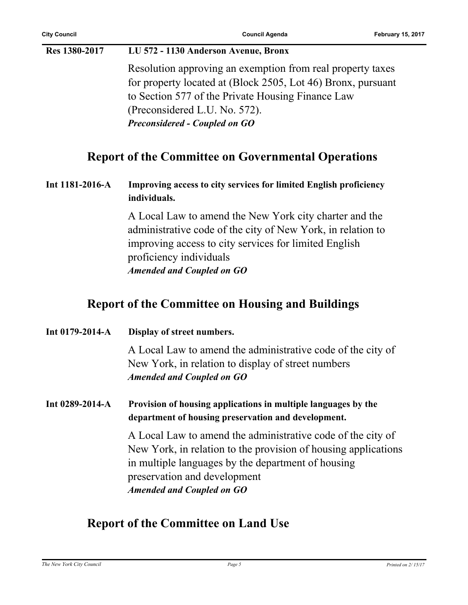#### **Res 1380-2017 LU 572 - 1130 Anderson Avenue, Bronx**

Resolution approving an exemption from real property taxes for property located at (Block 2505, Lot 46) Bronx, pursuant to Section 577 of the Private Housing Finance Law (Preconsidered L.U. No. 572). *Preconsidered - Coupled on GO*

### **Report of the Committee on Governmental Operations**

**Int 1181-2016-A Improving access to city services for limited English proficiency individuals.**

> A Local Law to amend the New York city charter and the administrative code of the city of New York, in relation to improving access to city services for limited English proficiency individuals *Amended and Coupled on GO*

### **Report of the Committee on Housing and Buildings**

| Int $0179 - 2014 - A$ | Display of street numbers.                                                                                                                                                                                                                              |
|-----------------------|---------------------------------------------------------------------------------------------------------------------------------------------------------------------------------------------------------------------------------------------------------|
|                       | A Local Law to amend the administrative code of the city of<br>New York, in relation to display of street numbers<br><b>Amended and Coupled on GO</b>                                                                                                   |
| Int $0289 - 2014 - A$ | Provision of housing applications in multiple languages by the<br>department of housing preservation and development.                                                                                                                                   |
|                       | A Local Law to amend the administrative code of the city of<br>New York, in relation to the provision of housing applications<br>in multiple languages by the department of housing<br>preservation and development<br><b>Amended and Coupled on GO</b> |

### **Report of the Committee on Land Use**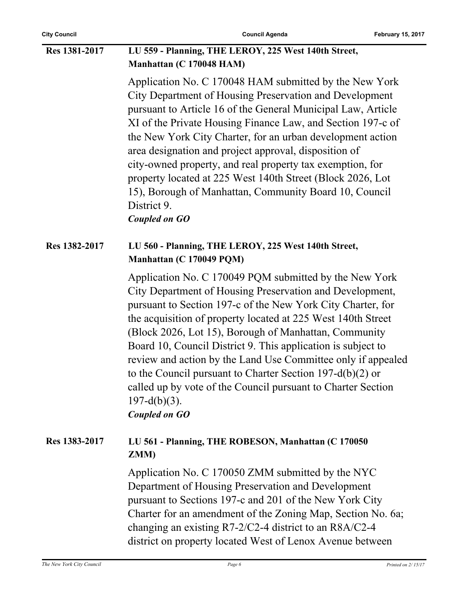### **Res 1381-2017 LU 559 - Planning, THE LEROY, 225 West 140th Street, Manhattan (C 170048 HAM)**

Application No. C 170048 HAM submitted by the New York City Department of Housing Preservation and Development pursuant to Article 16 of the General Municipal Law, Article XI of the Private Housing Finance Law, and Section 197-c of the New York City Charter, for an urban development action area designation and project approval, disposition of city-owned property, and real property tax exemption, for property located at 225 West 140th Street (Block 2026, Lot 15), Borough of Manhattan, Community Board 10, Council District 9.

*Coupled on GO*

#### **Res 1382-2017 LU 560 - Planning, THE LEROY, 225 West 140th Street, Manhattan (C 170049 PQM)**

Application No. C 170049 PQM submitted by the New York City Department of Housing Preservation and Development, pursuant to Section 197-c of the New York City Charter, for the acquisition of property located at 225 West 140th Street (Block 2026, Lot 15), Borough of Manhattan, Community Board 10, Council District 9. This application is subject to review and action by the Land Use Committee only if appealed to the Council pursuant to Charter Section 197-d(b)(2) or called up by vote of the Council pursuant to Charter Section  $197-d(b)(3)$ .

*Coupled on GO*

#### **Res 1383-2017 LU 561 - Planning, THE ROBESON, Manhattan (C 170050 ZMM)**

Application No. C 170050 ZMM submitted by the NYC Department of Housing Preservation and Development pursuant to Sections 197-c and 201 of the New York City Charter for an amendment of the Zoning Map, Section No. 6a; changing an existing R7-2/C2-4 district to an R8A/C2-4 district on property located West of Lenox Avenue between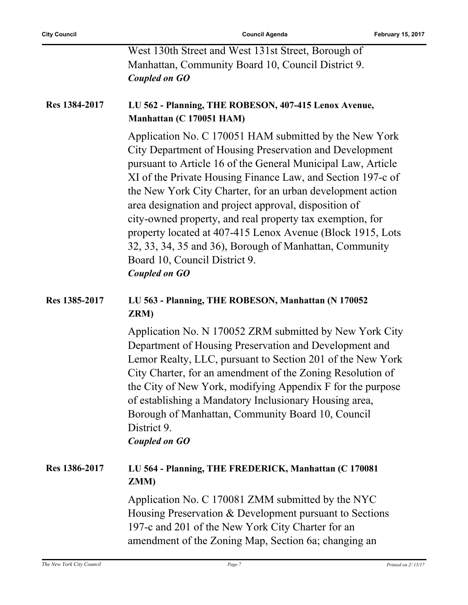West 130th Street and West 131st Street, Borough of Manhattan, Community Board 10, Council District 9. *Coupled on GO*

#### **Res 1384-2017 LU 562 - Planning, THE ROBESON, 407-415 Lenox Avenue, Manhattan (C 170051 HAM)**

Application No. C 170051 HAM submitted by the New York City Department of Housing Preservation and Development pursuant to Article 16 of the General Municipal Law, Article XI of the Private Housing Finance Law, and Section 197-c of the New York City Charter, for an urban development action area designation and project approval, disposition of city-owned property, and real property tax exemption, for property located at 407-415 Lenox Avenue (Block 1915, Lots 32, 33, 34, 35 and 36), Borough of Manhattan, Community Board 10, Council District 9. *Coupled on GO*

### **Res 1385-2017 LU 563 - Planning, THE ROBESON, Manhattan (N 170052 ZRM)**

Application No. N 170052 ZRM submitted by New York City Department of Housing Preservation and Development and Lemor Realty, LLC, pursuant to Section 201 of the New York City Charter, for an amendment of the Zoning Resolution of the City of New York, modifying Appendix F for the purpose of establishing a Mandatory Inclusionary Housing area, Borough of Manhattan, Community Board 10, Council District 9. *Coupled on GO*

### **Res 1386-2017 LU 564 - Planning, THE FREDERICK, Manhattan (C 170081 ZMM)**

Application No. C 170081 ZMM submitted by the NYC Housing Preservation & Development pursuant to Sections 197-c and 201 of the New York City Charter for an amendment of the Zoning Map, Section 6a; changing an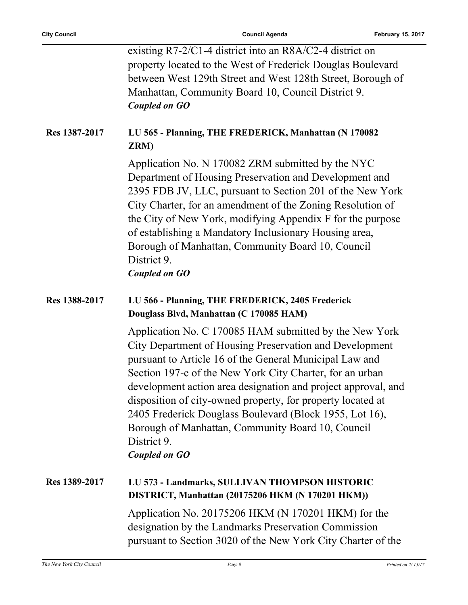|               | existing $R7-2/C1-4$ district into an $R8A/C2-4$ district on                                                                                                                                                                                                                                                                                                                                                                                                                                                                    |
|---------------|---------------------------------------------------------------------------------------------------------------------------------------------------------------------------------------------------------------------------------------------------------------------------------------------------------------------------------------------------------------------------------------------------------------------------------------------------------------------------------------------------------------------------------|
|               | property located to the West of Frederick Douglas Boulevard                                                                                                                                                                                                                                                                                                                                                                                                                                                                     |
|               | between West 129th Street and West 128th Street, Borough of                                                                                                                                                                                                                                                                                                                                                                                                                                                                     |
|               | Manhattan, Community Board 10, Council District 9.                                                                                                                                                                                                                                                                                                                                                                                                                                                                              |
|               |                                                                                                                                                                                                                                                                                                                                                                                                                                                                                                                                 |
|               | <b>Coupled on GO</b>                                                                                                                                                                                                                                                                                                                                                                                                                                                                                                            |
| Res 1387-2017 | LU 565 - Planning, THE FREDERICK, Manhattan (N 170082<br>ZRM)                                                                                                                                                                                                                                                                                                                                                                                                                                                                   |
|               | Application No. N 170082 ZRM submitted by the NYC<br>Department of Housing Preservation and Development and<br>2395 FDB JV, LLC, pursuant to Section 201 of the New York<br>City Charter, for an amendment of the Zoning Resolution of<br>the City of New York, modifying Appendix F for the purpose<br>of establishing a Mandatory Inclusionary Housing area,<br>Borough of Manhattan, Community Board 10, Council<br>District 9.<br><b>Coupled on GO</b>                                                                      |
| Res 1388-2017 | LU 566 - Planning, THE FREDERICK, 2405 Frederick<br>Douglass Blvd, Manhattan (C 170085 HAM)                                                                                                                                                                                                                                                                                                                                                                                                                                     |
|               | Application No. C 170085 HAM submitted by the New York<br>City Department of Housing Preservation and Development<br>pursuant to Article 16 of the General Municipal Law and<br>Section 197-c of the New York City Charter, for an urban<br>development action area designation and project approval, and<br>disposition of city-owned property, for property located at<br>2405 Frederick Douglass Boulevard (Block 1955, Lot 16),<br>Borough of Manhattan, Community Board 10, Council<br>District 9.<br><b>Coupled on GO</b> |
| Res 1389-2017 | LU 573 - Landmarks, SULLIVAN THOMPSON HISTORIC<br>DISTRICT, Manhattan (20175206 HKM (N 170201 HKM))                                                                                                                                                                                                                                                                                                                                                                                                                             |
|               | Application No. 20175206 HKM (N 170201 HKM) for the<br>designation by the Landmarks Preservation Commission<br>pursuant to Section 3020 of the New York City Charter of the                                                                                                                                                                                                                                                                                                                                                     |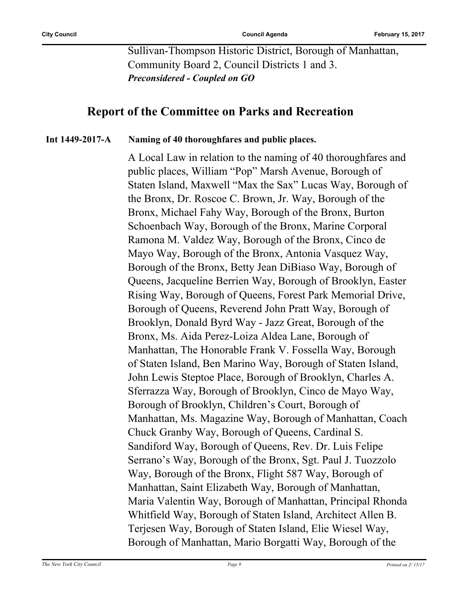Sullivan-Thompson Historic District, Borough of Manhattan, Community Board 2, Council Districts 1 and 3. *Preconsidered - Coupled on GO*

### **Report of the Committee on Parks and Recreation**

#### **Int 1449-2017-A Naming of 40 thoroughfares and public places.**

A Local Law in relation to the naming of 40 thoroughfares and public places, William "Pop" Marsh Avenue, Borough of Staten Island, Maxwell "Max the Sax" Lucas Way, Borough of the Bronx, Dr. Roscoe C. Brown, Jr. Way, Borough of the Bronx, Michael Fahy Way, Borough of the Bronx, Burton Schoenbach Way, Borough of the Bronx, Marine Corporal Ramona M. Valdez Way, Borough of the Bronx, Cinco de Mayo Way, Borough of the Bronx, Antonia Vasquez Way, Borough of the Bronx, Betty Jean DiBiaso Way, Borough of Queens, Jacqueline Berrien Way, Borough of Brooklyn, Easter Rising Way, Borough of Queens, Forest Park Memorial Drive, Borough of Queens, Reverend John Pratt Way, Borough of Brooklyn, Donald Byrd Way - Jazz Great, Borough of the Bronx, Ms. Aida Perez-Loiza Aldea Lane, Borough of Manhattan, The Honorable Frank V. Fossella Way, Borough of Staten Island, Ben Marino Way, Borough of Staten Island, John Lewis Steptoe Place, Borough of Brooklyn, Charles A. Sferrazza Way, Borough of Brooklyn, Cinco de Mayo Way, Borough of Brooklyn, Children's Court, Borough of Manhattan, Ms. Magazine Way, Borough of Manhattan, Coach Chuck Granby Way, Borough of Queens, Cardinal S. Sandiford Way, Borough of Queens, Rev. Dr. Luis Felipe Serrano's Way, Borough of the Bronx, Sgt. Paul J. Tuozzolo Way, Borough of the Bronx, Flight 587 Way, Borough of Manhattan, Saint Elizabeth Way, Borough of Manhattan, Maria Valentin Way, Borough of Manhattan, Principal Rhonda Whitfield Way, Borough of Staten Island, Architect Allen B. Terjesen Way, Borough of Staten Island, Elie Wiesel Way, Borough of Manhattan, Mario Borgatti Way, Borough of the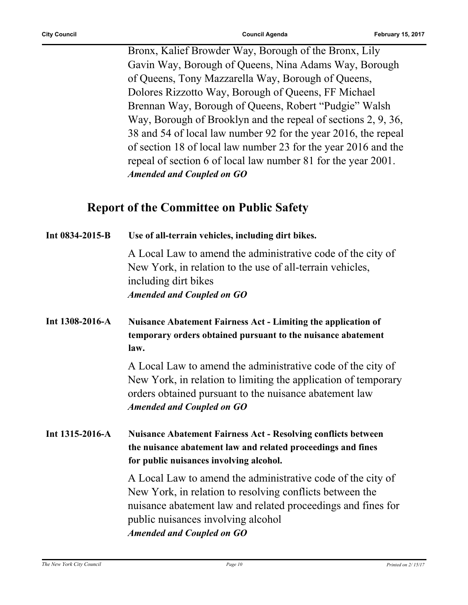Bronx, Kalief Browder Way, Borough of the Bronx, Lily Gavin Way, Borough of Queens, Nina Adams Way, Borough of Queens, Tony Mazzarella Way, Borough of Queens, Dolores Rizzotto Way, Borough of Queens, FF Michael Brennan Way, Borough of Queens, Robert "Pudgie" Walsh Way, Borough of Brooklyn and the repeal of sections 2, 9, 36, 38 and 54 of local law number 92 for the year 2016, the repeal of section 18 of local law number 23 for the year 2016 and the repeal of section 6 of local law number 81 for the year 2001. *Amended and Coupled on GO*

### **Report of the Committee on Public Safety**

| Int 0834-2015-B | Use of all-terrain vehicles, including dirt bikes.                                                                                                                                                                                                                |
|-----------------|-------------------------------------------------------------------------------------------------------------------------------------------------------------------------------------------------------------------------------------------------------------------|
|                 | A Local Law to amend the administrative code of the city of<br>New York, in relation to the use of all-terrain vehicles,<br>including dirt bikes<br><b>Amended and Coupled on GO</b>                                                                              |
| Int 1308-2016-A | <b>Nuisance Abatement Fairness Act - Limiting the application of</b><br>temporary orders obtained pursuant to the nuisance abatement<br>law.                                                                                                                      |
|                 | A Local Law to amend the administrative code of the city of<br>New York, in relation to limiting the application of temporary<br>orders obtained pursuant to the nuisance abatement law<br><b>Amended and Coupled on GO</b>                                       |
| Int 1315-2016-A | <b>Nuisance Abatement Fairness Act - Resolving conflicts between</b><br>the nuisance abatement law and related proceedings and fines<br>for public nuisances involving alcohol.                                                                                   |
|                 | A Local Law to amend the administrative code of the city of<br>New York, in relation to resolving conflicts between the<br>nuisance abatement law and related proceedings and fines for<br>public nuisances involving alcohol<br><b>Amended and Coupled on GO</b> |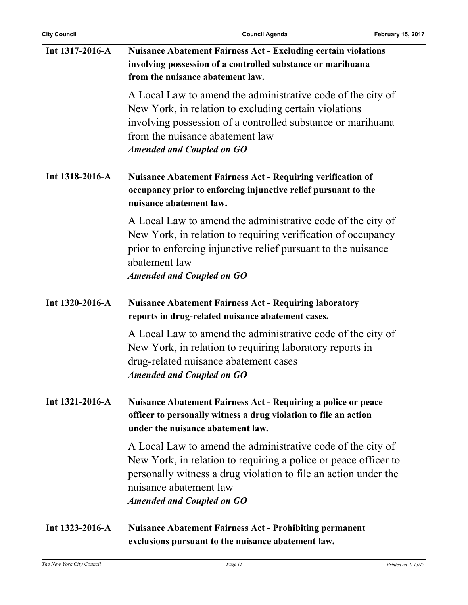| Int 1317-2016-A       | <b>Nuisance Abatement Fairness Act - Excluding certain violations</b><br>involving possession of a controlled substance or marihuana<br>from the nuisance abatement law.                                                                                        |
|-----------------------|-----------------------------------------------------------------------------------------------------------------------------------------------------------------------------------------------------------------------------------------------------------------|
|                       | A Local Law to amend the administrative code of the city of<br>New York, in relation to excluding certain violations<br>involving possession of a controlled substance or marihuana<br>from the nuisance abatement law<br><b>Amended and Coupled on GO</b>      |
| Int 1318-2016-A       | <b>Nuisance Abatement Fairness Act - Requiring verification of</b><br>occupancy prior to enforcing injunctive relief pursuant to the<br>nuisance abatement law.                                                                                                 |
|                       | A Local Law to amend the administrative code of the city of<br>New York, in relation to requiring verification of occupancy<br>prior to enforcing injunctive relief pursuant to the nuisance<br>abatement law<br><b>Amended and Coupled on GO</b>               |
| Int 1320-2016-A       | <b>Nuisance Abatement Fairness Act - Requiring laboratory</b><br>reports in drug-related nuisance abatement cases.                                                                                                                                              |
|                       | A Local Law to amend the administrative code of the city of<br>New York, in relation to requiring laboratory reports in<br>drug-related nuisance abatement cases<br><b>Amended and Coupled on GO</b>                                                            |
| Int $1321 - 2016 - A$ | <b>Nuisance Abatement Fairness Act - Requiring a police or peace</b><br>officer to personally witness a drug violation to file an action<br>under the nuisance abatement law.                                                                                   |
|                       | A Local Law to amend the administrative code of the city of<br>New York, in relation to requiring a police or peace officer to<br>personally witness a drug violation to file an action under the<br>nuisance abatement law<br><b>Amended and Coupled on GO</b> |
| Int $1323 - 2016 - A$ | <b>Nuisance Abatement Fairness Act - Prohibiting permanent</b><br>exclusions pursuant to the nuisance abatement law.                                                                                                                                            |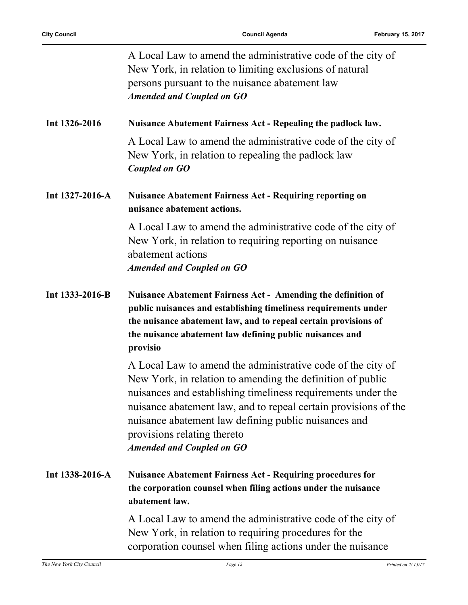|                 | A Local Law to amend the administrative code of the city of<br>New York, in relation to limiting exclusions of natural<br>persons pursuant to the nuisance abatement law<br><b>Amended and Coupled on GO</b>                                                                                                                                                                            |
|-----------------|-----------------------------------------------------------------------------------------------------------------------------------------------------------------------------------------------------------------------------------------------------------------------------------------------------------------------------------------------------------------------------------------|
| Int 1326-2016   | Nuisance Abatement Fairness Act - Repealing the padlock law.                                                                                                                                                                                                                                                                                                                            |
|                 | A Local Law to amend the administrative code of the city of<br>New York, in relation to repealing the padlock law<br>Coupled on GO                                                                                                                                                                                                                                                      |
| Int 1327-2016-A | <b>Nuisance Abatement Fairness Act - Requiring reporting on</b><br>nuisance abatement actions.                                                                                                                                                                                                                                                                                          |
|                 | A Local Law to amend the administrative code of the city of<br>New York, in relation to requiring reporting on nuisance<br>abatement actions<br><b>Amended and Coupled on GO</b>                                                                                                                                                                                                        |
| Int 1333-2016-B | <b>Nuisance Abatement Fairness Act - Amending the definition of</b><br>public nuisances and establishing timeliness requirements under<br>the nuisance abatement law, and to repeal certain provisions of<br>the nuisance abatement law defining public nuisances and<br>provisio                                                                                                       |
|                 | A Local Law to amend the administrative code of the city of<br>New York, in relation to amending the definition of public<br>nuisances and establishing timeliness requirements under the<br>nuisance abatement law, and to repeal certain provisions of the<br>nuisance abatement law defining public nuisances and<br>provisions relating thereto<br><b>Amended and Coupled on GO</b> |
| Int 1338-2016-A | <b>Nuisance Abatement Fairness Act - Requiring procedures for</b><br>the corporation counsel when filing actions under the nuisance<br>abatement law.                                                                                                                                                                                                                                   |
|                 | A Local Law to amend the administrative code of the city of<br>New York, in relation to requiring procedures for the<br>corporation counsel when filing actions under the nuisance                                                                                                                                                                                                      |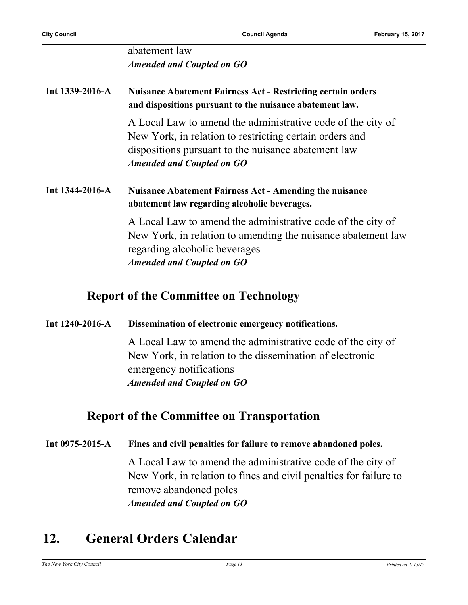### abatement law *Amended and Coupled on GO*

### **Int 1339-2016-A Nuisance Abatement Fairness Act - Restricting certain orders and dispositions pursuant to the nuisance abatement law.**

A Local Law to amend the administrative code of the city of New York, in relation to restricting certain orders and dispositions pursuant to the nuisance abatement law *Amended and Coupled on GO*

#### **Int 1344-2016-A Nuisance Abatement Fairness Act - Amending the nuisance abatement law regarding alcoholic beverages.**

A Local Law to amend the administrative code of the city of New York, in relation to amending the nuisance abatement law regarding alcoholic beverages *Amended and Coupled on GO*

### **Report of the Committee on Technology**

#### **Int 1240-2016-A Dissemination of electronic emergency notifications.**

A Local Law to amend the administrative code of the city of New York, in relation to the dissemination of electronic emergency notifications *Amended and Coupled on GO*

### **Report of the Committee on Transportation**

#### **Int 0975-2015-A Fines and civil penalties for failure to remove abandoned poles.**

A Local Law to amend the administrative code of the city of New York, in relation to fines and civil penalties for failure to remove abandoned poles *Amended and Coupled on GO*

# **12. General Orders Calendar**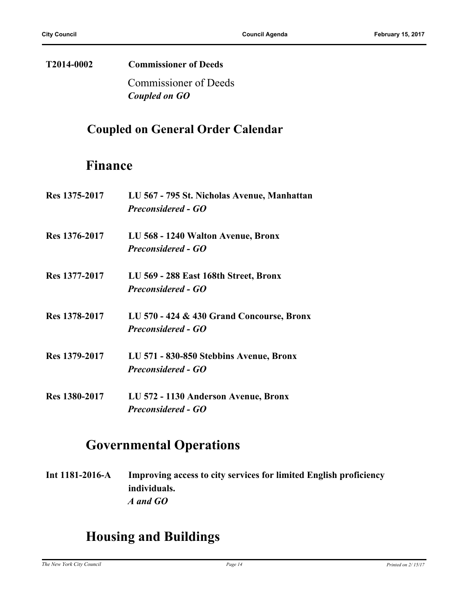# **T2014-0002 Commissioner of Deeds**

Commissioner of Deeds *Coupled on GO*

## **Coupled on General Order Calendar**

## **Finance**

| <b>Res</b> 1375-2017 | LU 567 - 795 St. Nicholas Avenue, Manhattan<br><b>Preconsidered - GO</b> |
|----------------------|--------------------------------------------------------------------------|
|                      |                                                                          |
| Res 1376-2017        | LU 568 - 1240 Walton Avenue, Bronx                                       |
|                      | <b>Preconsidered - GO</b>                                                |
| Res 1377-2017        | LU 569 - 288 East 168th Street, Bronx                                    |
|                      | <b>Preconsidered - GO</b>                                                |
| Res 1378-2017        | LU 570 - 424 & 430 Grand Concourse, Bronx                                |
|                      | <b>Preconsidered - GO</b>                                                |
| Res 1379-2017        | LU 571 - 830-850 Stebbins Avenue, Bronx                                  |
|                      | <b>Preconsidered - GO</b>                                                |
| <b>Res</b> 1380-2017 | LU 572 - 1130 Anderson Avenue, Bronx                                     |
|                      | <b>Preconsidered - GO</b>                                                |

# **Governmental Operations**

**Int 1181-2016-A Improving access to city services for limited English proficiency individuals.** *A and GO*

# **Housing and Buildings**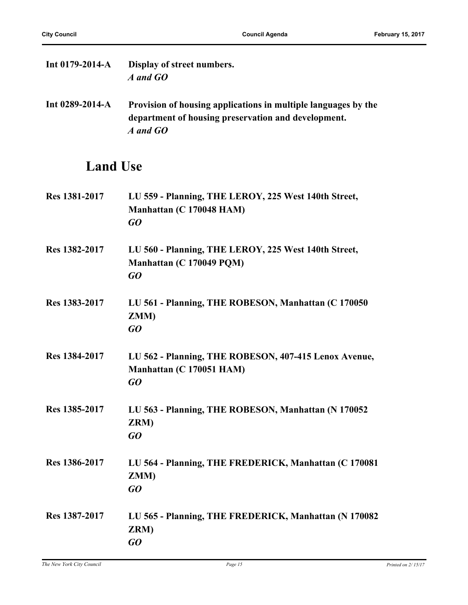| Int $0179 - 2014 - A$ | Display of street numbers.<br>A and GO                                                                                            |
|-----------------------|-----------------------------------------------------------------------------------------------------------------------------------|
| Int $0289-2014-A$     | Provision of housing applications in multiple languages by the<br>department of housing preservation and development.<br>A and GO |

# **Land Use**

| Res 1381-2017 | LU 559 - Planning, THE LEROY, 225 West 140th Street,<br>Manhattan (C 170048 HAM)<br>GO  |
|---------------|-----------------------------------------------------------------------------------------|
| Res 1382-2017 | LU 560 - Planning, THE LEROY, 225 West 140th Street,<br>Manhattan (C 170049 PQM)<br>GO  |
| Res 1383-2017 | LU 561 - Planning, THE ROBESON, Manhattan (C 170050)<br>ZMM)<br>$G$ O                   |
| Res 1384-2017 | LU 562 - Planning, THE ROBESON, 407-415 Lenox Avenue,<br>Manhattan (C 170051 HAM)<br>GO |
| Res 1385-2017 | LU 563 - Planning, THE ROBESON, Manhattan (N 170052<br>ZRM)<br>$G$ O                    |
| Res 1386-2017 | LU 564 - Planning, THE FREDERICK, Manhattan (C 170081)<br>ZMM)<br>GO                    |
| Res 1387-2017 | LU 565 - Planning, THE FREDERICK, Manhattan (N 170082<br>ZRM)<br>GO                     |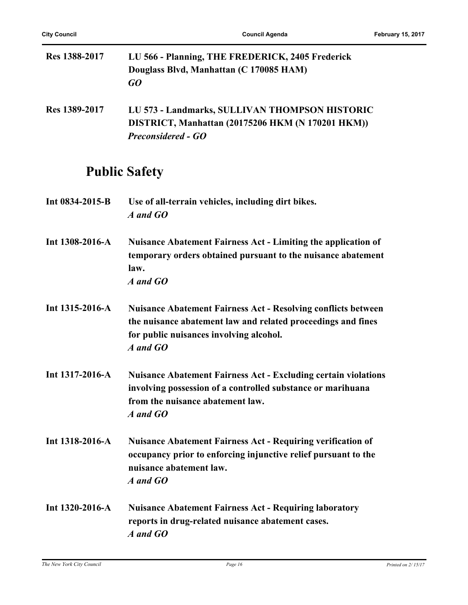L.

| <b>Res 1388-2017</b> | LU 566 - Planning, THE FREDERICK, 2405 Frederick<br>Douglass Blvd, Manhattan (C 170085 HAM)<br>GO                                                                                           |
|----------------------|---------------------------------------------------------------------------------------------------------------------------------------------------------------------------------------------|
| <b>Res 1389-2017</b> | LU 573 - Landmarks, SULLIVAN THOMPSON HISTORIC<br>DISTRICT, Manhattan (20175206 HKM (N 170201 HKM))<br><b>Preconsidered - GO</b>                                                            |
|                      | <b>Public Safety</b>                                                                                                                                                                        |
| Int 0834-2015-B      | Use of all-terrain vehicles, including dirt bikes.<br>A and GO                                                                                                                              |
| Int 1308-2016-A      | <b>Nuisance Abatement Fairness Act - Limiting the application of</b><br>temporary orders obtained pursuant to the nuisance abatement<br>law.<br>A and GO                                    |
| Int 1315-2016-A      | <b>Nuisance Abatement Fairness Act - Resolving conflicts between</b><br>the nuisance abatement law and related proceedings and fines<br>for public nuisances involving alcohol.<br>A and GO |
| Int 1317-2016-A      | <b>Nuisance Abatement Fairness Act - Excluding certain violations</b><br>involving possession of a controlled substance or marihuana<br>from the nuisance abatement law.<br>A and GO        |
| Int 1318-2016-A      | <b>Nuisance Abatement Fairness Act - Requiring verification of</b><br>occupancy prior to enforcing injunctive relief pursuant to the<br>nuisance abatement law.<br>A and GO                 |
|                      | Int 1220 2016 A Muisango Abotament Foirmess Act Decuring Ishorotown                                                                                                                         |

**Int 1320-2016-A Nuisance Abatement Fairness Act - Requiring laboratory reports in drug-related nuisance abatement cases.** *A and GO*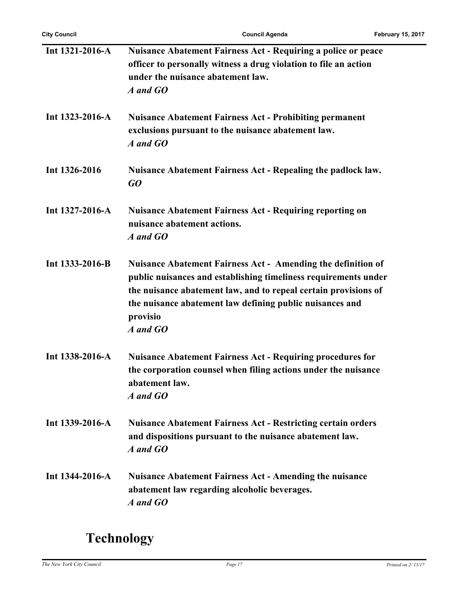| Int 1321-2016-A       | <b>Nuisance Abatement Fairness Act - Requiring a police or peace</b><br>officer to personally witness a drug violation to file an action<br>under the nuisance abatement law.<br>A and GO                                                                                                     |
|-----------------------|-----------------------------------------------------------------------------------------------------------------------------------------------------------------------------------------------------------------------------------------------------------------------------------------------|
| Int $1323 - 2016 - A$ | <b>Nuisance Abatement Fairness Act - Prohibiting permanent</b><br>exclusions pursuant to the nuisance abatement law.<br>A and GO                                                                                                                                                              |
| Int 1326-2016         | <b>Nuisance Abatement Fairness Act - Repealing the padlock law.</b><br>GO                                                                                                                                                                                                                     |
| Int 1327-2016-A       | <b>Nuisance Abatement Fairness Act - Requiring reporting on</b><br>nuisance abatement actions.<br>A and GO                                                                                                                                                                                    |
| Int 1333-2016-B       | <b>Nuisance Abatement Fairness Act - Amending the definition of</b><br>public nuisances and establishing timeliness requirements under<br>the nuisance abatement law, and to repeal certain provisions of<br>the nuisance abatement law defining public nuisances and<br>provisio<br>A and GO |
| Int 1338-2016-A       | <b>Nuisance Abatement Fairness Act - Requiring procedures for</b><br>the corporation counsel when filing actions under the nuisance<br>abatement law.<br>A and GO                                                                                                                             |
| Int $1339-2016-A$     | <b>Nuisance Abatement Fairness Act - Restricting certain orders</b><br>and dispositions pursuant to the nuisance abatement law.<br>A and GO                                                                                                                                                   |
| Int 1344-2016-A       | <b>Nuisance Abatement Fairness Act - Amending the nuisance</b><br>abatement law regarding alcoholic beverages.<br>A and GO                                                                                                                                                                    |

# **Technology**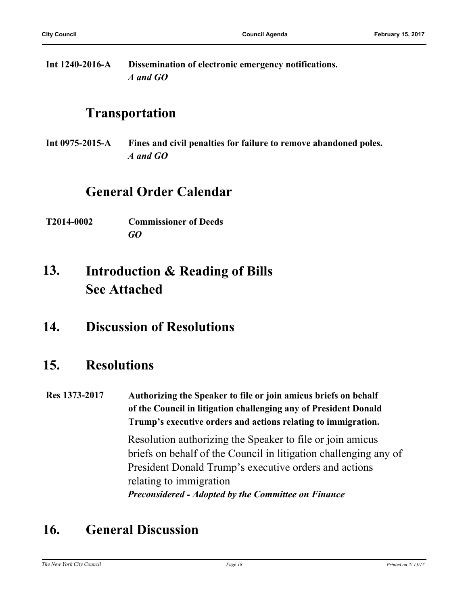**Int 1240-2016-A Dissemination of electronic emergency notifications.** *A and GO*

## **Transportation**

**Int 0975-2015-A Fines and civil penalties for failure to remove abandoned poles.** *A and GO*

# **General Order Calendar**

**T2014-0002 Commissioner of Deeds** *GO*

#### **Introduction & Reading of Bills See Attached 13.**

**14. Discussion of Resolutions**

## **15. Resolutions**

**Res 1373-2017 Authorizing the Speaker to file or join amicus briefs on behalf of the Council in litigation challenging any of President Donald Trump's executive orders and actions relating to immigration.**

> Resolution authorizing the Speaker to file or join amicus briefs on behalf of the Council in litigation challenging any of President Donald Trump's executive orders and actions relating to immigration *Preconsidered - Adopted by the Committee on Finance*

# **16. General Discussion**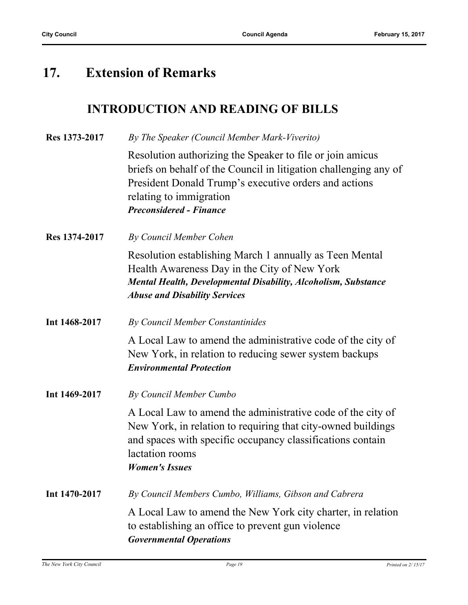# **17. Extension of Remarks**

### **INTRODUCTION AND READING OF BILLS**

| Res 1373-2017 | By The Speaker (Council Member Mark-Viverito)                                                                                                                                                                                                       |
|---------------|-----------------------------------------------------------------------------------------------------------------------------------------------------------------------------------------------------------------------------------------------------|
|               | Resolution authorizing the Speaker to file or join amicus<br>briefs on behalf of the Council in litigation challenging any of<br>President Donald Trump's executive orders and actions<br>relating to immigration<br><b>Preconsidered - Finance</b> |
| Res 1374-2017 | By Council Member Cohen                                                                                                                                                                                                                             |
|               | Resolution establishing March 1 annually as Teen Mental<br>Health Awareness Day in the City of New York<br><b>Mental Health, Developmental Disability, Alcoholism, Substance</b><br><b>Abuse and Disability Services</b>                            |
| Int 1468-2017 | By Council Member Constantinides                                                                                                                                                                                                                    |
|               | A Local Law to amend the administrative code of the city of<br>New York, in relation to reducing sewer system backups<br><b>Environmental Protection</b>                                                                                            |
| Int 1469-2017 | By Council Member Cumbo                                                                                                                                                                                                                             |
|               | A Local Law to amend the administrative code of the city of<br>New York, in relation to requiring that city-owned buildings<br>and spaces with specific occupancy classifications contain<br>lactation rooms<br><b>Women's Issues</b>               |
| Int 1470-2017 | By Council Members Cumbo, Williams, Gibson and Cabrera                                                                                                                                                                                              |
|               | A Local Law to amend the New York city charter, in relation<br>to establishing an office to prevent gun violence<br><b>Governmental Operations</b>                                                                                                  |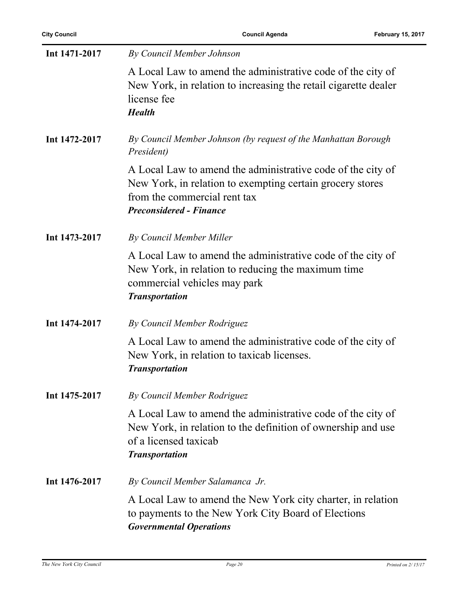| Int 1471-2017 | By Council Member Johnson                                                                                                                                                                  |
|---------------|--------------------------------------------------------------------------------------------------------------------------------------------------------------------------------------------|
|               | A Local Law to amend the administrative code of the city of<br>New York, in relation to increasing the retail cigarette dealer<br>license fee<br><b>Health</b>                             |
| Int 1472-2017 | By Council Member Johnson (by request of the Manhattan Borough<br>President)                                                                                                               |
|               | A Local Law to amend the administrative code of the city of<br>New York, in relation to exempting certain grocery stores<br>from the commercial rent tax<br><b>Preconsidered - Finance</b> |
| Int 1473-2017 | By Council Member Miller                                                                                                                                                                   |
|               | A Local Law to amend the administrative code of the city of<br>New York, in relation to reducing the maximum time<br>commercial vehicles may park<br><b>Transportation</b>                 |
| Int 1474-2017 | By Council Member Rodriguez                                                                                                                                                                |
|               | A Local Law to amend the administrative code of the city of<br>New York, in relation to taxicab licenses.<br><b>Transportation</b>                                                         |
| Int 1475-2017 | By Council Member Rodriguez                                                                                                                                                                |
|               | A Local Law to amend the administrative code of the city of<br>New York, in relation to the definition of ownership and use<br>of a licensed taxicab<br><b>Transportation</b>              |
| Int 1476-2017 | By Council Member Salamanca Jr.                                                                                                                                                            |
|               | A Local Law to amend the New York city charter, in relation<br>to payments to the New York City Board of Elections<br><b>Governmental Operations</b>                                       |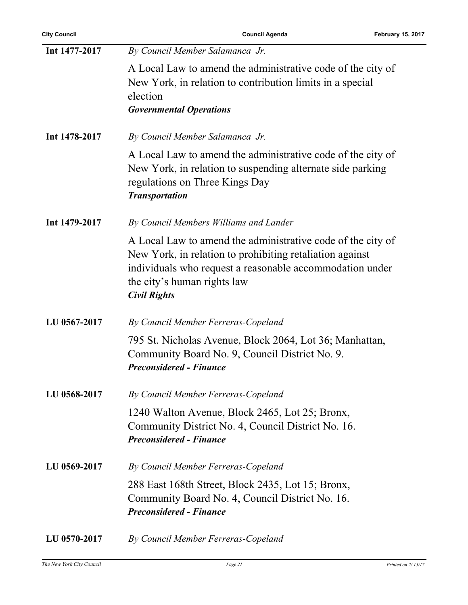| By Council Member Salamanca Jr.                                                                                                                                                                                                           |
|-------------------------------------------------------------------------------------------------------------------------------------------------------------------------------------------------------------------------------------------|
| A Local Law to amend the administrative code of the city of<br>New York, in relation to contribution limits in a special<br>election<br><b>Governmental Operations</b>                                                                    |
|                                                                                                                                                                                                                                           |
| By Council Member Salamanca Jr.                                                                                                                                                                                                           |
| A Local Law to amend the administrative code of the city of<br>New York, in relation to suspending alternate side parking<br>regulations on Three Kings Day<br><b>Transportation</b>                                                      |
| By Council Members Williams and Lander                                                                                                                                                                                                    |
| A Local Law to amend the administrative code of the city of<br>New York, in relation to prohibiting retaliation against<br>individuals who request a reasonable accommodation under<br>the city's human rights law<br><b>Civil Rights</b> |
| By Council Member Ferreras-Copeland                                                                                                                                                                                                       |
| 795 St. Nicholas Avenue, Block 2064, Lot 36; Manhattan,<br>Community Board No. 9, Council District No. 9.<br><b>Preconsidered - Finance</b>                                                                                               |
| By Council Member Ferreras-Copeland                                                                                                                                                                                                       |
| 1240 Walton Avenue, Block 2465, Lot 25; Bronx,<br>Community District No. 4, Council District No. 16.<br><b>Preconsidered - Finance</b>                                                                                                    |
|                                                                                                                                                                                                                                           |
| By Council Member Ferreras-Copeland                                                                                                                                                                                                       |
| 288 East 168th Street, Block 2435, Lot 15; Bronx,<br>Community Board No. 4, Council District No. 16.<br><b>Preconsidered - Finance</b>                                                                                                    |
|                                                                                                                                                                                                                                           |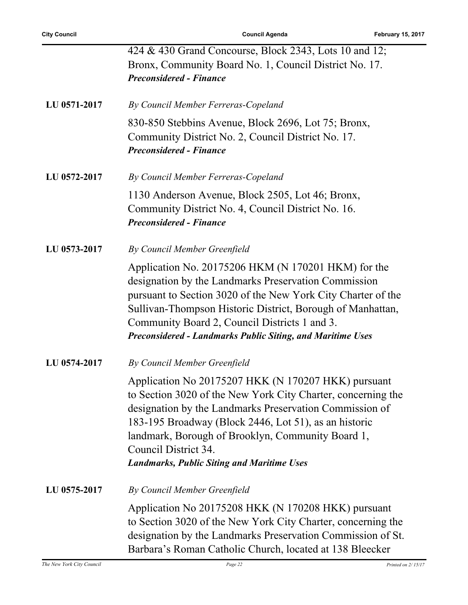|              | 424 & 430 Grand Concourse, Block 2343, Lots 10 and 12;                                                                                                                                                                                                                                                                                                                    |
|--------------|---------------------------------------------------------------------------------------------------------------------------------------------------------------------------------------------------------------------------------------------------------------------------------------------------------------------------------------------------------------------------|
|              | Bronx, Community Board No. 1, Council District No. 17.<br><b>Preconsidered - Finance</b>                                                                                                                                                                                                                                                                                  |
| LU 0571-2017 | By Council Member Ferreras-Copeland                                                                                                                                                                                                                                                                                                                                       |
|              | 830-850 Stebbins Avenue, Block 2696, Lot 75; Bronx,<br>Community District No. 2, Council District No. 17.<br><b>Preconsidered - Finance</b>                                                                                                                                                                                                                               |
| LU 0572-2017 | By Council Member Ferreras-Copeland                                                                                                                                                                                                                                                                                                                                       |
|              | 1130 Anderson Avenue, Block 2505, Lot 46; Bronx,<br>Community District No. 4, Council District No. 16.<br><b>Preconsidered - Finance</b>                                                                                                                                                                                                                                  |
| LU 0573-2017 | By Council Member Greenfield                                                                                                                                                                                                                                                                                                                                              |
|              | Application No. 20175206 HKM (N 170201 HKM) for the<br>designation by the Landmarks Preservation Commission<br>pursuant to Section 3020 of the New York City Charter of the<br>Sullivan-Thompson Historic District, Borough of Manhattan,<br>Community Board 2, Council Districts 1 and 3.<br><b>Preconsidered - Landmarks Public Siting, and Maritime Uses</b>           |
| LU 0574-2017 | By Council Member Greenfield                                                                                                                                                                                                                                                                                                                                              |
|              | Application No 20175207 HKK (N 170207 HKK) pursuant<br>to Section 3020 of the New York City Charter, concerning the<br>designation by the Landmarks Preservation Commission of<br>183-195 Broadway (Block 2446, Lot 51), as an historic<br>landmark, Borough of Brooklyn, Community Board 1,<br>Council District 34.<br><b>Landmarks, Public Siting and Maritime Uses</b> |
| LU 0575-2017 | By Council Member Greenfield                                                                                                                                                                                                                                                                                                                                              |
|              | Application No 20175208 HKK (N 170208 HKK) pursuant<br>to Section 3020 of the New York City Charter, concerning the<br>designation by the Landmarks Preservation Commission of St.<br>Barbara's Roman Catholic Church, located at 138 Bleecker                                                                                                                            |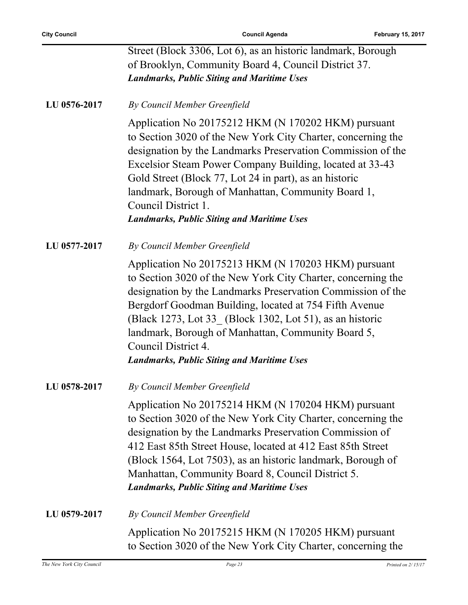|              | Street (Block 3306, Lot 6), as an historic landmark, Borough<br>of Brooklyn, Community Board 4, Council District 37.<br><b>Landmarks, Public Siting and Maritime Uses</b>                                                                                                                                                                                                                                                                  |
|--------------|--------------------------------------------------------------------------------------------------------------------------------------------------------------------------------------------------------------------------------------------------------------------------------------------------------------------------------------------------------------------------------------------------------------------------------------------|
| LU 0576-2017 | By Council Member Greenfield                                                                                                                                                                                                                                                                                                                                                                                                               |
|              | Application No 20175212 HKM (N 170202 HKM) pursuant<br>to Section 3020 of the New York City Charter, concerning the<br>designation by the Landmarks Preservation Commission of the<br>Excelsior Steam Power Company Building, located at 33-43<br>Gold Street (Block 77, Lot 24 in part), as an historic<br>landmark, Borough of Manhattan, Community Board 1,<br>Council District 1.<br><b>Landmarks, Public Siting and Maritime Uses</b> |
| LU 0577-2017 | By Council Member Greenfield                                                                                                                                                                                                                                                                                                                                                                                                               |
|              | Application No 20175213 HKM (N 170203 HKM) pursuant<br>to Section 3020 of the New York City Charter, concerning the<br>designation by the Landmarks Preservation Commission of the<br>Bergdorf Goodman Building, located at 754 Fifth Avenue<br>(Black 1273, Lot 33 (Block 1302, Lot 51), as an historic<br>landmark, Borough of Manhattan, Community Board 5,<br>Council District 4.<br><b>Landmarks, Public Siting and Maritime Uses</b> |
| LU 0578-2017 | By Council Member Greenfield                                                                                                                                                                                                                                                                                                                                                                                                               |
|              | Application No 20175214 HKM (N 170204 HKM) pursuant<br>to Section 3020 of the New York City Charter, concerning the<br>designation by the Landmarks Preservation Commission of<br>412 East 85th Street House, located at 412 East 85th Street<br>(Block 1564, Lot 7503), as an historic landmark, Borough of<br>Manhattan, Community Board 8, Council District 5.<br><b>Landmarks, Public Siting and Maritime Uses</b>                     |
| LU 0579-2017 | By Council Member Greenfield                                                                                                                                                                                                                                                                                                                                                                                                               |
|              | Application No 20175215 HKM (N 170205 HKM) pursuant<br>to Section 3020 of the New York City Charter, concerning the                                                                                                                                                                                                                                                                                                                        |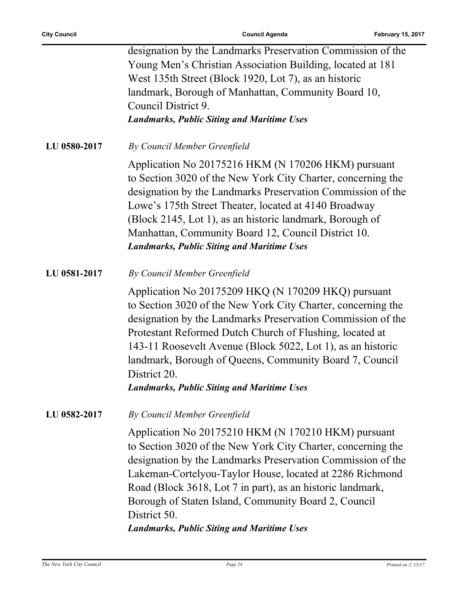|              | designation by the Landmarks Preservation Commission of the<br>Young Men's Christian Association Building, located at 181<br>West 135th Street (Block 1920, Lot 7), as an historic<br>landmark, Borough of Manhattan, Community Board 10,<br>Council District 9.                                                                                                                                                                              |
|--------------|-----------------------------------------------------------------------------------------------------------------------------------------------------------------------------------------------------------------------------------------------------------------------------------------------------------------------------------------------------------------------------------------------------------------------------------------------|
|              | <b>Landmarks, Public Siting and Maritime Uses</b>                                                                                                                                                                                                                                                                                                                                                                                             |
| LU 0580-2017 | By Council Member Greenfield                                                                                                                                                                                                                                                                                                                                                                                                                  |
|              | Application No 20175216 HKM (N 170206 HKM) pursuant<br>to Section 3020 of the New York City Charter, concerning the<br>designation by the Landmarks Preservation Commission of the<br>Lowe's 175th Street Theater, located at 4140 Broadway<br>(Block 2145, Lot 1), as an historic landmark, Borough of<br>Manhattan, Community Board 12, Council District 10.<br><b>Landmarks, Public Siting and Maritime Uses</b>                           |
| LU 0581-2017 | By Council Member Greenfield                                                                                                                                                                                                                                                                                                                                                                                                                  |
|              | Application No 20175209 HKQ (N 170209 HKQ) pursuant<br>to Section 3020 of the New York City Charter, concerning the<br>designation by the Landmarks Preservation Commission of the<br>Protestant Reformed Dutch Church of Flushing, located at<br>143-11 Roosevelt Avenue (Block 5022, Lot 1), as an historic<br>landmark, Borough of Queens, Community Board 7, Council<br>District 20.<br><b>Landmarks, Public Siting and Maritime Uses</b> |
| LU 0582-2017 | By Council Member Greenfield                                                                                                                                                                                                                                                                                                                                                                                                                  |
|              | Application No 20175210 HKM (N 170210 HKM) pursuant<br>to Section 3020 of the New York City Charter, concerning the<br>designation by the Landmarks Preservation Commission of the<br>Lakeman-Cortelyou-Taylor House, located at 2286 Richmond<br>Road (Block 3618, Lot 7 in part), as an historic landmark,<br>Borough of Staten Island, Community Board 2, Council<br>District 50.<br><b>Landmarks, Public Siting and Maritime Uses</b>     |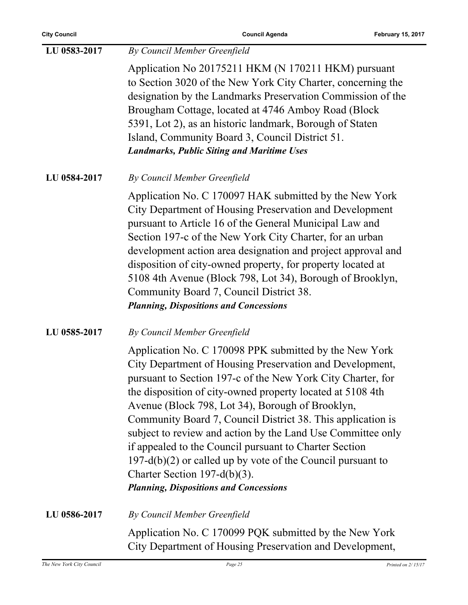| LU 0583-2017 | By Council Member Greenfield                                                                                                                                                                                                                                                                                                                                                                                                                                                                                                                                                                                                                  |
|--------------|-----------------------------------------------------------------------------------------------------------------------------------------------------------------------------------------------------------------------------------------------------------------------------------------------------------------------------------------------------------------------------------------------------------------------------------------------------------------------------------------------------------------------------------------------------------------------------------------------------------------------------------------------|
|              | Application No 20175211 HKM (N 170211 HKM) pursuant<br>to Section 3020 of the New York City Charter, concerning the<br>designation by the Landmarks Preservation Commission of the<br>Brougham Cottage, located at 4746 Amboy Road (Block<br>5391, Lot 2), as an historic landmark, Borough of Staten<br>Island, Community Board 3, Council District 51.<br><b>Landmarks, Public Siting and Maritime Uses</b>                                                                                                                                                                                                                                 |
| LU 0584-2017 | By Council Member Greenfield                                                                                                                                                                                                                                                                                                                                                                                                                                                                                                                                                                                                                  |
|              | Application No. C 170097 HAK submitted by the New York<br>City Department of Housing Preservation and Development<br>pursuant to Article 16 of the General Municipal Law and<br>Section 197-c of the New York City Charter, for an urban<br>development action area designation and project approval and<br>disposition of city-owned property, for property located at<br>5108 4th Avenue (Block 798, Lot 34), Borough of Brooklyn,<br>Community Board 7, Council District 38.<br><b>Planning, Dispositions and Concessions</b>                                                                                                              |
| LU 0585-2017 | By Council Member Greenfield                                                                                                                                                                                                                                                                                                                                                                                                                                                                                                                                                                                                                  |
|              | Application No. C 170098 PPK submitted by the New York<br>City Department of Housing Preservation and Development,<br>pursuant to Section 197-c of the New York City Charter, for<br>the disposition of city-owned property located at 5108 4th<br>Avenue (Block 798, Lot 34), Borough of Brooklyn,<br>Community Board 7, Council District 38. This application is<br>subject to review and action by the Land Use Committee only<br>if appealed to the Council pursuant to Charter Section<br>$197-d(b)(2)$ or called up by vote of the Council pursuant to<br>Charter Section 197-d(b)(3).<br><b>Planning, Dispositions and Concessions</b> |
| LU 0586-2017 | By Council Member Greenfield                                                                                                                                                                                                                                                                                                                                                                                                                                                                                                                                                                                                                  |
|              | Application No. C 170099 PQK submitted by the New York<br>City Department of Housing Preservation and Development,                                                                                                                                                                                                                                                                                                                                                                                                                                                                                                                            |